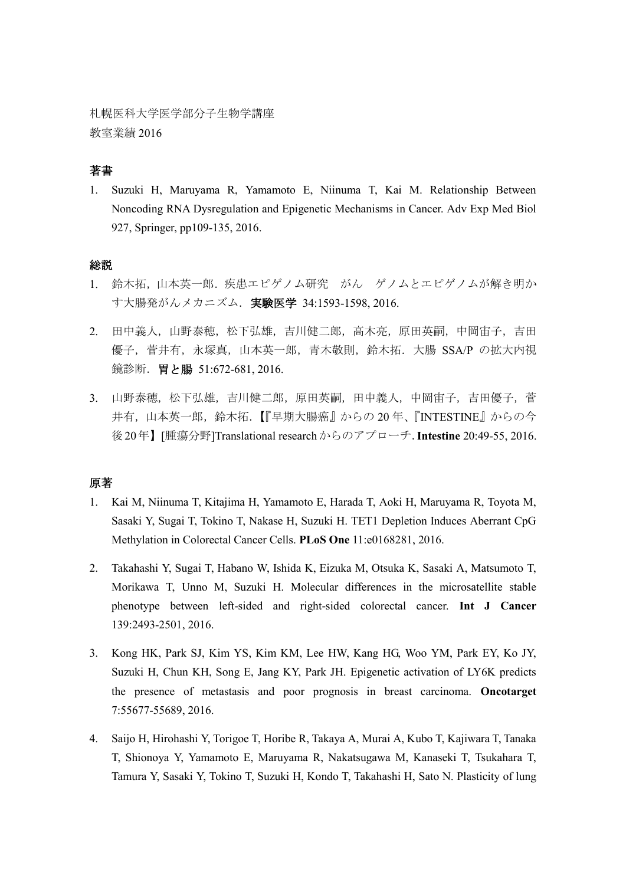札幌医科大学医学部分子生物学講座 教室業績 2016

# 著書

1. Suzuki H, Maruyama R, Yamamoto E, Niinuma T, Kai M. Relationship Between Noncoding RNA Dysregulation and Epigenetic Mechanisms in Cancer. Adv Exp Med Biol 927, Springer, pp109-135, 2016.

#### 総説

- 1. 鈴木拓,山本英一郎.疾患エピゲノム研究 がん ゲノムとエピゲノムが解き明か す大腸発がんメカニズム. 実験医学 34:1593-1598, 2016.
- 2. 田中義人,山野泰穂,松下弘雄,吉川健二郎,高木亮,原田英嗣,中岡宙子,吉田 優子, 菅井有, 永塚真, 山本英一郎, 青木敬則, 鈴木拓. 大腸 SSA/P の拡大内視 鏡診断.胃と腸 51:672-681, 2016.
- 3. 山野泰穂,松下弘雄,吉川健二郎,原田英嗣,田中義人,中岡宙子,吉田優子,菅 井有,山本英一郎,鈴木拓.【『早期大腸癌』からの20年、『INTESTINE』からの今 後20年】[腫瘍分野]Translational researchからのアプローチ.**Intestine** 20:49-55, 2016.

#### 原著

- 1. Kai M, Niinuma T, Kitajima H, Yamamoto E, Harada T, Aoki H, Maruyama R, Toyota M, Sasaki Y, Sugai T, Tokino T, Nakase H, Suzuki H. TET1 Depletion Induces Aberrant CpG Methylation in Colorectal Cancer Cells. **PLoS One** 11:e0168281, 2016.
- 2. Takahashi Y, Sugai T, Habano W, Ishida K, Eizuka M, Otsuka K, Sasaki A, Matsumoto T, Morikawa T, Unno M, Suzuki H. Molecular differences in the microsatellite stable phenotype between left-sided and right-sided colorectal cancer. **Int J Cancer** 139:2493-2501, 2016.
- 3. Kong HK, Park SJ, Kim YS, Kim KM, Lee HW, Kang HG, Woo YM, Park EY, Ko JY, Suzuki H, Chun KH, Song E, Jang KY, Park JH. Epigenetic activation of LY6K predicts the presence of metastasis and poor prognosis in breast carcinoma. **Oncotarget** 7:55677-55689, 2016.
- 4. Saijo H, Hirohashi Y, Torigoe T, Horibe R, Takaya A, Murai A, Kubo T, Kajiwara T, Tanaka T, Shionoya Y, Yamamoto E, Maruyama R, Nakatsugawa M, Kanaseki T, Tsukahara T, Tamura Y, Sasaki Y, Tokino T, Suzuki H, Kondo T, Takahashi H, Sato N. Plasticity of lung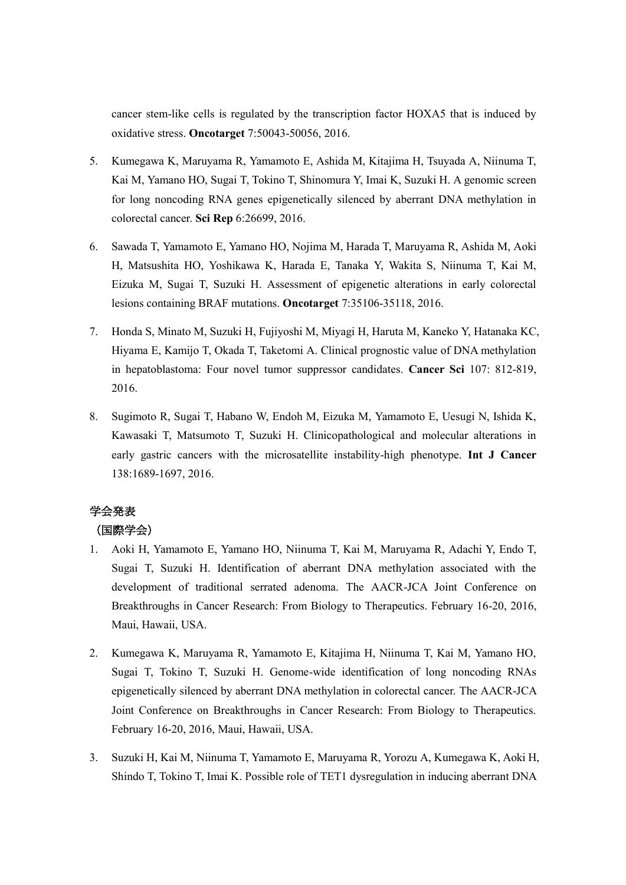cancer stem-like cells is regulated by the transcription factor HOXA5 that is induced by oxidative stress. **Oncotarget** 7:50043-50056, 2016.

- 5. Kumegawa K, Maruyama R, Yamamoto E, Ashida M, Kitajima H, Tsuyada A, Niinuma T, Kai M, Yamano HO, Sugai T, Tokino T, Shinomura Y, Imai K, Suzuki H. A genomic screen for long noncoding RNA genes epigenetically silenced by aberrant DNA methylation in colorectal cancer. **Sci Rep** 6:26699, 2016.
- 6. Sawada T, Yamamoto E, Yamano HO, Nojima M, Harada T, Maruyama R, Ashida M, Aoki H, Matsushita HO, Yoshikawa K, Harada E, Tanaka Y, Wakita S, Niinuma T, Kai M, Eizuka M, Sugai T, Suzuki H. Assessment of epigenetic alterations in early colorectal lesions containing BRAF mutations. **Oncotarget** 7:35106-35118, 2016.
- 7. Honda S, Minato M, Suzuki H, Fujiyoshi M, Miyagi H, Haruta M, Kaneko Y, Hatanaka KC, Hiyama E, Kamijo T, Okada T, Taketomi A. Clinical prognostic value of DNA methylation in hepatoblastoma: Four novel tumor suppressor candidates. **Cancer Sci** 107: 812-819, 2016.
- 8. Sugimoto R, Sugai T, Habano W, Endoh M, Eizuka M, Yamamoto E, Uesugi N, Ishida K, Kawasaki T, Matsumoto T, Suzuki H. Clinicopathological and molecular alterations in early gastric cancers with the microsatellite instability-high phenotype. **Int J Cancer** 138:1689-1697, 2016.

# 学会発表

# (国際学会)

- 1. Aoki H, Yamamoto E, Yamano HO, Niinuma T, Kai M, Maruyama R, Adachi Y, Endo T, Sugai T, Suzuki H. Identification of aberrant DNA methylation associated with the development of traditional serrated adenoma. The AACR-JCA Joint Conference on Breakthroughs in Cancer Research: From Biology to Therapeutics. February 16-20, 2016, Maui, Hawaii, USA.
- 2. Kumegawa K, Maruyama R, Yamamoto E, Kitajima H, Niinuma T, Kai M, Yamano HO, Sugai T, Tokino T, Suzuki H. Genome-wide identification of long noncoding RNAs epigenetically silenced by aberrant DNA methylation in colorectal cancer. The AACR-JCA Joint Conference on Breakthroughs in Cancer Research: From Biology to Therapeutics. February 16-20, 2016, Maui, Hawaii, USA.
- 3. Suzuki H, Kai M, Niinuma T, Yamamoto E, Maruyama R, Yorozu A, Kumegawa K, Aoki H, Shindo T, Tokino T, Imai K. Possible role of TET1 dysregulation in inducing aberrant DNA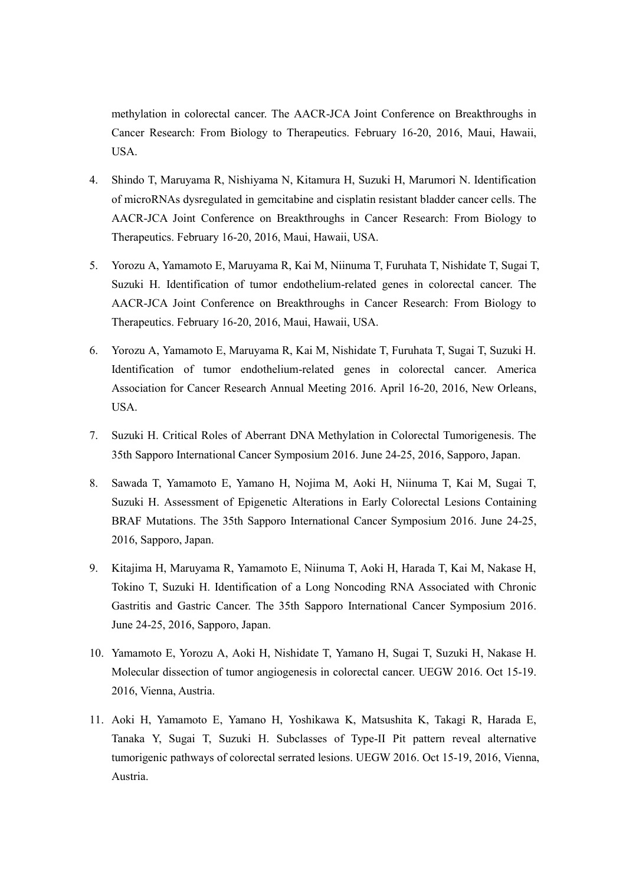methylation in colorectal cancer. The AACR-JCA Joint Conference on Breakthroughs in Cancer Research: From Biology to Therapeutics. February 16-20, 2016, Maui, Hawaii, USA.

- 4. Shindo T, Maruyama R, Nishiyama N, Kitamura H, Suzuki H, Marumori N. Identification of microRNAs dysregulated in gemcitabine and cisplatin resistant bladder cancer cells. The AACR-JCA Joint Conference on Breakthroughs in Cancer Research: From Biology to Therapeutics. February 16-20, 2016, Maui, Hawaii, USA.
- 5. Yorozu A, Yamamoto E, Maruyama R, Kai M, Niinuma T, Furuhata T, Nishidate T, Sugai T, Suzuki H. Identification of tumor endothelium-related genes in colorectal cancer. The AACR-JCA Joint Conference on Breakthroughs in Cancer Research: From Biology to Therapeutics. February 16-20, 2016, Maui, Hawaii, USA.
- 6. Yorozu A, Yamamoto E, Maruyama R, Kai M, Nishidate T, Furuhata T, Sugai T, Suzuki H. Identification of tumor endothelium-related genes in colorectal cancer. America Association for Cancer Research Annual Meeting 2016. April 16-20, 2016, New Orleans, USA.
- 7. Suzuki H. Critical Roles of Aberrant DNA Methylation in Colorectal Tumorigenesis. The 35th Sapporo International Cancer Symposium 2016. June 24-25, 2016, Sapporo, Japan.
- 8. Sawada T, Yamamoto E, Yamano H, Nojima M, Aoki H, Niinuma T, Kai M, Sugai T, Suzuki H. Assessment of Epigenetic Alterations in Early Colorectal Lesions Containing BRAF Mutations. The 35th Sapporo International Cancer Symposium 2016. June 24-25, 2016, Sapporo, Japan.
- 9. Kitajima H, Maruyama R, Yamamoto E, Niinuma T, Aoki H, Harada T, Kai M, Nakase H, Tokino T, Suzuki H. Identification of a Long Noncoding RNA Associated with Chronic Gastritis and Gastric Cancer. The 35th Sapporo International Cancer Symposium 2016. June 24-25, 2016, Sapporo, Japan.
- 10. Yamamoto E, Yorozu A, Aoki H, Nishidate T, Yamano H, Sugai T, Suzuki H, Nakase H. Molecular dissection of tumor angiogenesis in colorectal cancer. UEGW 2016. Oct 15-19. 2016, Vienna, Austria.
- 11. Aoki H, Yamamoto E, Yamano H, Yoshikawa K, Matsushita K, Takagi R, Harada E, Tanaka Y, Sugai T, Suzuki H. Subclasses of Type-II Pit pattern reveal alternative tumorigenic pathways of colorectal serrated lesions. UEGW 2016. Oct 15-19, 2016, Vienna, Austria.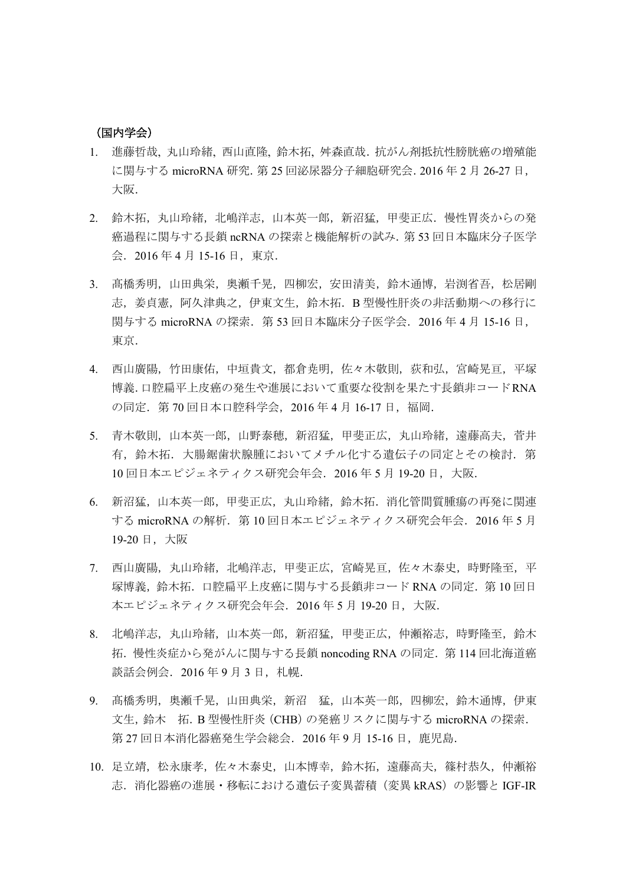#### (国内学会)

- 1. 進藤哲哉, 丸山玲緒, 西山直隆, 鈴木拓, 舛森直哉.抗がん剤抵抗性膀胱癌の増殖能 に関与する microRNA 研究.第 25 回泌尿器分子細胞研究会.2016 年 2 月 26-27 日, 大阪.
- 2. 鈴木拓,丸山玲緒,北嶋洋志,山本英一郎,新沼猛,甲斐正広. 慢性胃炎からの発 癌過程に関与する長鎖 ncRNA の探索と機能解析の試み.第 53 回日本臨床分子医学 会.2016 年 4 月 15-16 日,東京.
- 3. 髙橋秀明,山田典栄,奥瀬千晃,四柳宏,安田清美,鈴木通博,岩渕省吾,松居剛 志,姜貞憲,阿久津典之,伊東文生,鈴木拓.B 型慢性肝炎の非活動期への移行に 関与する microRNA の探索. 第 53 回日本臨床分子医学会. 2016 年 4 月 15-16 日, 東京.
- 4. 西山廣陽,竹田康佑,中垣貴文,都倉尭明,佐々木敬則,荻和弘,宮崎晃亘,平塚 博義.口腔扁平上皮癌の発生や進展において重要な役割を果たす長鎖非コードRNA の同定.第 70 回日本口腔科学会,2016 年 4 月 16-17 日,福岡.
- 5. 青木敬則,山本英一郎,山野泰穂,新沼猛,甲斐正広,丸山玲緒,遠藤高夫,菅井 有,鈴木拓.大腸鋸歯状腺腫においてメチル化する遺伝子の同定とその検討.第 10 回日本エピジェネティクス研究会年会.2016 年 5 月 19-20 日,大阪.
- 6. 新沼猛,山本英一郎,甲斐正広,丸山玲緒,鈴木拓.消化管間質腫瘍の再発に関連 する microRNA の解析. 第10回日本エピジェネティクス研究会年会. 2016年5月 19-20 日,大阪
- 7. 西山廣陽,丸山玲緒,北嶋洋志,甲斐正広,宮崎晃亘,佐々木泰史,時野隆至,平 塚博義,鈴木拓.口腔扁平上皮癌に関与する長鎖非コード RNA の同定.第 10 回日 本エピジェネティクス研究会年会.2016 年 5 月 19-20 日,大阪.
- 8. 北嶋洋志,丸山玲緒,山本英一郎,新沼猛,甲斐正広,仲瀬裕志,時野隆至,鈴木 拓.慢性炎症から発がんに関与する長鎖 noncoding RNA の同定.第 114 回北海道癌 談話会例会. 2016年9月3日, 札幌.
- 9. 髙橋秀明,奥瀬千晃,山田典栄,新沼 猛,山本英一郎,四柳宏,鈴木通博,伊東 文生,鈴木 拓.B 型慢性肝炎(CHB)の発癌リスクに関与する microRNA の探索. 第 27 回日本消化器癌発生学会総会. 2016 年 9 月 15-16 日, 鹿児島.
- 10. 足立靖,松永康孝,佐々木泰史,山本博幸,鈴木拓,遠藤高夫,篠村恭久,仲瀬裕 志.消化器癌の進展・移転における遺伝子変異蓄積(変異 kRAS)の影響と IGF-IR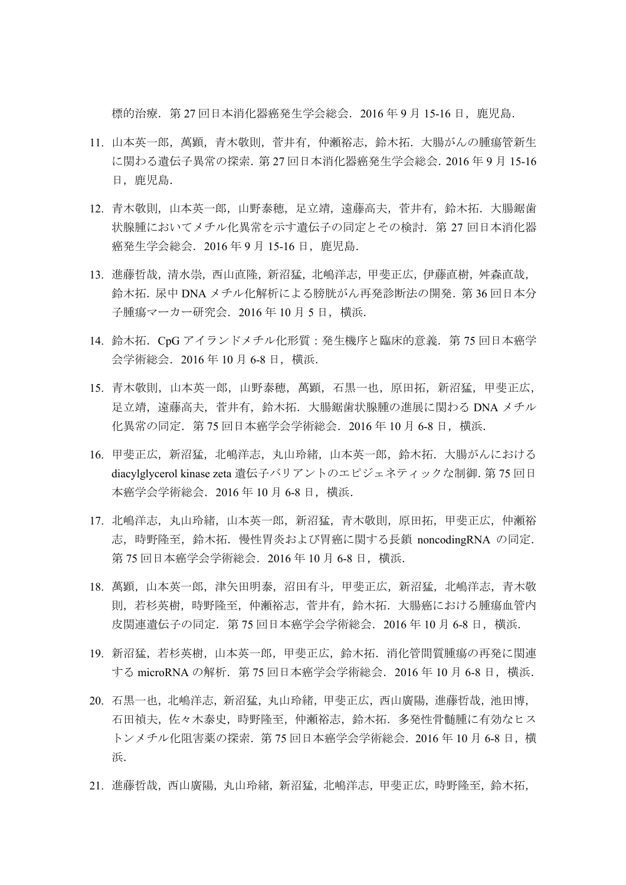標的治療.第 27 回日本消化器癌発生学会総会.2016 年 9 月 15-16 日,鹿児島.

- 11. 山本英一郎,萬顕,青木敬則,菅井有,仲瀬裕志,鈴木拓.大腸がんの腫瘍管新生 に関わる遺伝子異常の探索.第 27 回日本消化器癌発生学会総会.2016 年 9 月 15-16 日,鹿児島.
- 12. 青木敬則,山本英一郎,山野泰穂,足立靖,遠藤高夫,菅井有,鈴木拓. 大腸鋸歯 状腺腫においてメチル化異常を示す潰伝子の同定とその検討. 第 27 回日本消化器 癌発生学会総会. 2016年9月 15-16日, 鹿児島.
- 13. 進藤哲哉,清水崇,西山直隆,新沼猛,北嶋洋志,甲斐正広,伊藤直樹,舛森直哉, 鈴木拓. 尿中 DNA メチル化解析による膀胱がん再発診断法の開発. 第 36 回日本分 子腫瘍マーカー研究会. 2016年10月5日, 横浜.
- 14. 鈴木拓. CpG アイランドメチル化形質:発生機序と臨床的意義. 第 75 回日本癌学 会学術総会.2016 年 10 月 6-8 日,横浜.
- 15. 青木敬則,山本英一郎,山野泰穂,萬顕,石黒一也,原田拓,新沼猛,甲斐正広, 足立靖,遠藤高夫,菅井有,鈴木拓.大腸鋸歯状腺腫の進展に関わる DNA メチル 化異常の同定.第 75 回日本癌学会学術総会.2016 年 10 月 6-8 日,横浜.
- 16. 甲斐正広,新沼猛,北嶋洋志,丸山玲緒,山本英一郎,鈴木拓.大腸がんにおける diacylglycerol kinase zeta 遺伝子バリアントのエピジェネティックな制御.第 75 回日 本癌学会学術総会.2016 年 10 月 6-8 日,横浜.
- 17. 北嶋洋志,丸山玲緒,山本英一郎,新沼猛,青木敬則,原田拓,甲斐正広,仲瀬裕 志,時野隆至,鈴木拓.慢性胃炎および胃癌に関する長鎖 noncodingRNA の同定. 第 75 回日本癌学会学術総会. 2016 年 10 月 6-8 日, 横浜.
- 18. 萬顕,山本英一郎,津矢田明泰,沼田有斗,甲斐正広,新沼猛,北嶋洋志,青木敬 則,若杉英樹,時野隆至,仲瀬裕志,菅井有,鈴木拓.大腸癌における腫瘍血管内 皮関連遺伝子の同定.第 75 回日本癌学会学術総会.2016 年 10 月 6-8 日,横浜.
- 19. 新沼猛,若杉英樹,山本英一郎,甲斐正広,鈴木拓. 消化管間質腫瘍の再発に関連 する microRNA の解析. 第 75 回日本癌学会学術総会. 2016 年 10 月 6-8 日, 横浜.
- 20. 石黒一也,北嶋洋志,新沼猛,丸山玲緒,甲斐正広,西山廣陽,進藤哲哉,池田博, 石田禎夫,佐々木泰史,時野隆至,仲瀬裕志,鈴木拓.多発性骨髄腫に有効なヒス トンメチル化阻害薬の探索.第 75 回日本癌学会学術総会.2016 年 10 月 6-8 日,横 浜.
- 21. 進藤哲哉,西山廣陽,丸山玲緒,新沼猛,北嶋洋志,甲斐正広,時野隆至,鈴木拓,